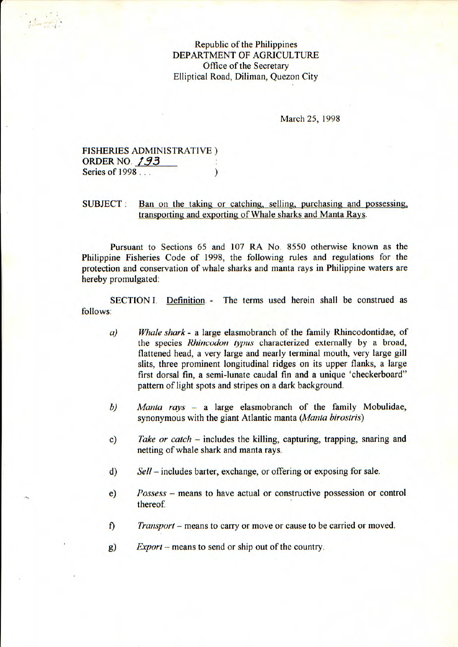Republic of the Philippines DEPARTMENT OF AGRICULTURE Office of the Secretary Elliptical Road, Diliman, Quezon City

March 25, 1998

FISHERIES ADMINISTRATIVE) **ORDER NO. 193** Series of 1998 . *)* 

SUBJECT: Ban on the taking or catching, selling, purchasing and possessing. transporting and exporting of Whale sharks and Manta Rays.

Pursuant to Sections *65* and 107 RA No. 8550 otherwise known as the Philippine Fisheries Code of 1998, the following rules and regulations for the protection and conservation of whale sharks and manta rays in Philippine waters are hereby promulgated:

SECTION I. Definition. - The terms used herein shall be construed as follows:

- *a) Whale shark* a large elasmobranch of the family Rhincodontidae, of the species Rhincodon typus characterized externally by a broad, flattened head, a very large and nearly terminal mouth, very large gill slits, three prominent longitudinal ridges on its upper flanks, a large first dorsal fin, a semi-lunate caudal fin and a unique 'checkerboard" pattern of light spots and stripes on a dark background.
- *b) Mania rays* a large elasmobranch of the family Mobulidae, synonymous with the giant Atlantic manta *(Mania birosiris)*
- C) *Take or catch* includes the killing, capturing, trapping, snaring and netting of whale shark and manta rays.
- *d) Sell* includes barter, exchange, or offering or exposing for sale.
- *e) Possess* means to have actual or constructive possession or control thereof
- f) *Transport* means to carry or move or cause to be carried or moved.
- g) *Export* means to send or ship out of the country.